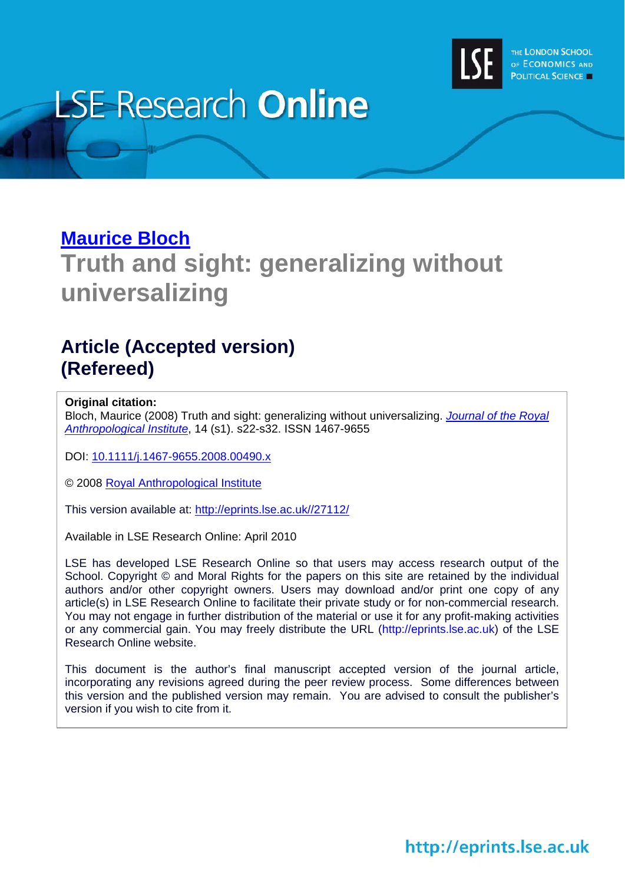

# **LSE Research Online**

### **[Maurice Bloch](http://www2.lse.ac.uk/researchAndExpertise/Experts/m.e.bloch@lse.ac.uk)**

# **Truth and sight: generalizing without universalizing**

## **Article (Accepted version) (Refereed)**

#### **Original citation:**

Bloch, Maurice (2008) Truth and sight: generalizing without universalizing. *[Journal of the Royal](http://www.wiley.com/bw/journal.asp?ref=1359-0987)  [Anthropological Institute](http://www.wiley.com/bw/journal.asp?ref=1359-0987)*, 14 (s1). s22-s32. ISSN 1467-9655

DOI: [10.1111/j.1467-9655.2008.00490.x](http://dx.doi.org/10.1111/j.1467-9655.2008.00490.x)

© 2008 [Royal Anthropological Institute](http://www.therai.org.uk/)

This version available at: [http://eprints.lse.ac.uk//27112/](http://eprints.lse.ac.uk/####/)

Available in LSE Research Online: April 2010

LSE has developed LSE Research Online so that users may access research output of the School. Copyright © and Moral Rights for the papers on this site are retained by the individual authors and/or other copyright owners. Users may download and/or print one copy of any article(s) in LSE Research Online to facilitate their private study or for non-commercial research. You may not engage in further distribution of the material or use it for any profit-making activities or any commercial gain. You may freely distribute the URL (http://eprints.lse.ac.uk) of the LSE Research Online website.

This document is the author's final manuscript accepted version of the journal article, incorporating any revisions agreed during the peer review process. Some differences between this version and the published version may remain. You are advised to consult the publisher's version if you wish to cite from it.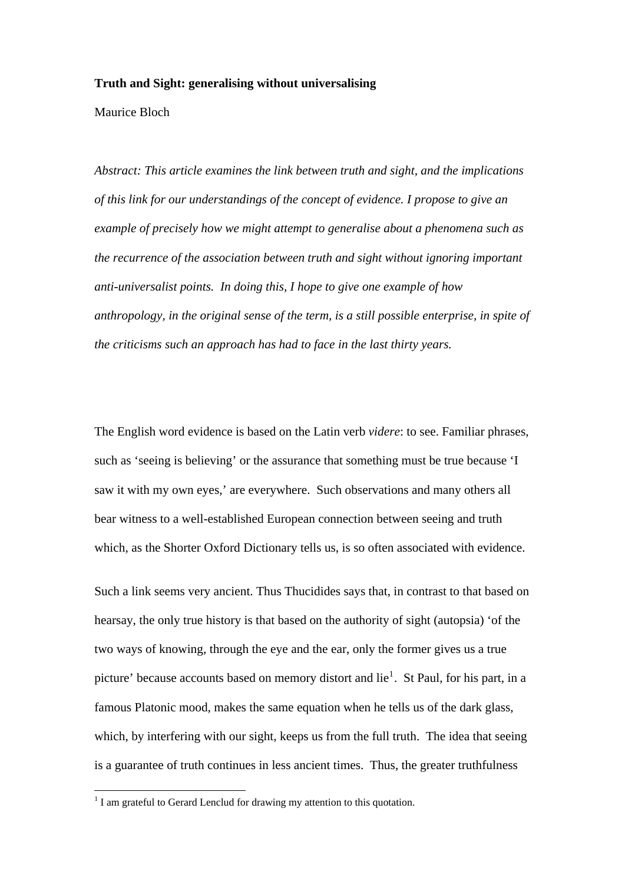#### **Truth and Sight: generalising without universalising**

Maurice Bloch

*Abstract: This article examines the link between truth and sight, and the implications of this link for our understandings of the concept of evidence. I propose to give an example of precisely how we might attempt to generalise about a phenomena such as the recurrence of the association between truth and sight without ignoring important anti-universalist points. In doing this, I hope to give one example of how anthropology, in the original sense of the term, is a still possible enterprise, in spite of the criticisms such an approach has had to face in the last thirty years.* 

The English word evidence is based on the Latin verb *videre*: to see. Familiar phrases, such as 'seeing is believing' or the assurance that something must be true because 'I saw it with my own eyes,' are everywhere. Such observations and many others all bear witness to a well-established European connection between seeing and truth which, as the Shorter Oxford Dictionary tells us, is so often associated with evidence.

Such a link seems very ancient. Thus Thucidides says that, in contrast to that based on hearsay, the only true history is that based on the authority of sight (autopsia) 'of the two ways of knowing, through the eye and the ear, only the former gives us a true picture' because accounts based on memory distort and  $lie<sup>1</sup>$  $lie<sup>1</sup>$  $lie<sup>1</sup>$ . St Paul, for his part, in a famous Platonic mood, makes the same equation when he tells us of the dark glass, which, by interfering with our sight, keeps us from the full truth. The idea that seeing is a guarantee of truth continues in less ancient times. Thus, the greater truthfulness

<span id="page-1-0"></span> 1 I am grateful to Gerard Lenclud for drawing my attention to this quotation.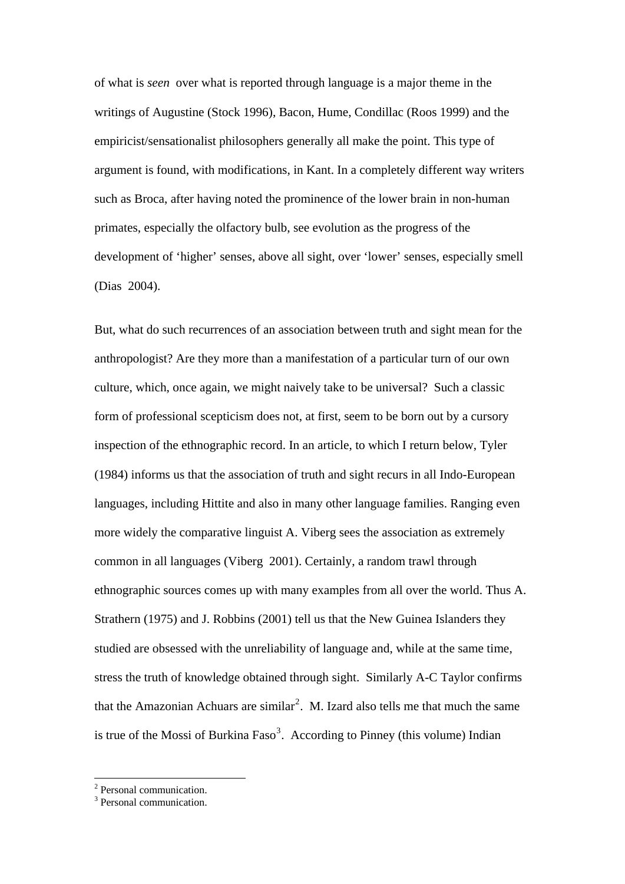of what is *seen* over what is reported through language is a major theme in the writings of Augustine (Stock 1996), Bacon, Hume, Condillac (Roos 1999) and the empiricist/sensationalist philosophers generally all make the point. This type of argument is found, with modifications, in Kant. In a completely different way writers such as Broca, after having noted the prominence of the lower brain in non-human primates, especially the olfactory bulb, see evolution as the progress of the development of 'higher' senses, above all sight, over 'lower' senses, especially smell (Dias 2004).

But, what do such recurrences of an association between truth and sight mean for the anthropologist? Are they more than a manifestation of a particular turn of our own culture, which, once again, we might naively take to be universal? Such a classic form of professional scepticism does not, at first, seem to be born out by a cursory inspection of the ethnographic record. In an article, to which I return below, Tyler (1984) informs us that the association of truth and sight recurs in all Indo-European languages, including Hittite and also in many other language families. Ranging even more widely the comparative linguist A. Viberg sees the association as extremely common in all languages (Viberg 2001). Certainly, a random trawl through ethnographic sources comes up with many examples from all over the world. Thus A. Strathern (1975) and J. Robbins (2001) tell us that the New Guinea Islanders they studied are obsessed with the unreliability of language and, while at the same time, stress the truth of knowledge obtained through sight. Similarly A-C Taylor confirms that the Amazonian Achuars are similar<sup>[2](#page-2-0)</sup>. M. Izard also tells me that much the same is true of the Mossi of Burkina  $Faso<sup>3</sup>$  $Faso<sup>3</sup>$  $Faso<sup>3</sup>$ . According to Pinney (this volume) Indian

<u>.</u>

<span id="page-2-0"></span><sup>&</sup>lt;sup>2</sup> Personal communication.

<span id="page-2-1"></span><sup>&</sup>lt;sup>3</sup> Personal communication.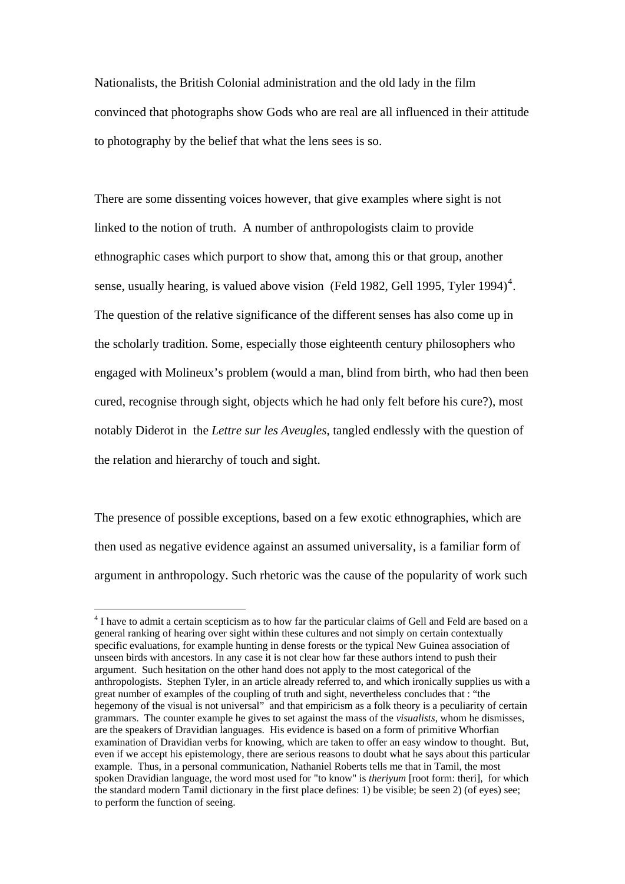Nationalists, the British Colonial administration and the old lady in the film convinced that photographs show Gods who are real are all influenced in their attitude to photography by the belief that what the lens sees is so.

There are some dissenting voices however, that give examples where sight is not linked to the notion of truth. A number of anthropologists claim to provide ethnographic cases which purport to show that, among this or that group, another sense, usually hearing, is valued above vision (Feld 1982, Gell 1995, Tyler 199[4](#page-3-0))<sup>4</sup>. The question of the relative significance of the different senses has also come up in the scholarly tradition. Some, especially those eighteenth century philosophers who engaged with Molineux's problem (would a man, blind from birth, who had then been cured, recognise through sight, objects which he had only felt before his cure?), most notably Diderot in the *Lettre sur les Aveugles*, tangled endlessly with the question of the relation and hierarchy of touch and sight.

The presence of possible exceptions, based on a few exotic ethnographies, which are then used as negative evidence against an assumed universality, is a familiar form of argument in anthropology. Such rhetoric was the cause of the popularity of work such

1

<span id="page-3-0"></span><sup>&</sup>lt;sup>4</sup> I have to admit a certain scepticism as to how far the particular claims of Gell and Feld are based on a general ranking of hearing over sight within these cultures and not simply on certain contextually specific evaluations, for example hunting in dense forests or the typical New Guinea association of unseen birds with ancestors. In any case it is not clear how far these authors intend to push their argument. Such hesitation on the other hand does not apply to the most categorical of the anthropologists. Stephen Tyler, in an article already referred to, and which ironically supplies us with a great number of examples of the coupling of truth and sight, nevertheless concludes that : "the hegemony of the visual is not universal" and that empiricism as a folk theory is a peculiarity of certain grammars. The counter example he gives to set against the mass of the *visualists,* whom he dismisses, are the speakers of Dravidian languages. His evidence is based on a form of primitive Whorfian examination of Dravidian verbs for knowing, which are taken to offer an easy window to thought. But, even if we accept his epistemology, there are serious reasons to doubt what he says about this particular example. Thus, in a personal communication, Nathaniel Roberts tells me that in Tamil, the most spoken Dravidian language, the word most used for "to know" is *theriyum* [root form: theri], for which the standard modern Tamil dictionary in the first place defines: 1) be visible; be seen 2) (of eyes) see; to perform the function of seeing.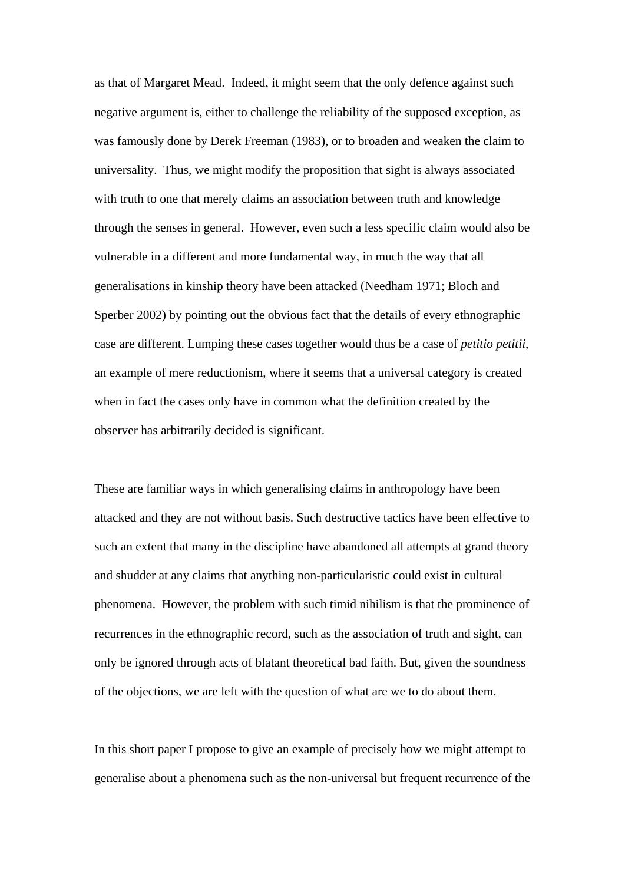as that of Margaret Mead. Indeed, it might seem that the only defence against such negative argument is, either to challenge the reliability of the supposed exception, as was famously done by Derek Freeman (1983), or to broaden and weaken the claim to universality. Thus, we might modify the proposition that sight is always associated with truth to one that merely claims an association between truth and knowledge through the senses in general. However, even such a less specific claim would also be vulnerable in a different and more fundamental way, in much the way that all generalisations in kinship theory have been attacked (Needham 1971; Bloch and Sperber 2002) by pointing out the obvious fact that the details of every ethnographic case are different. Lumping these cases together would thus be a case of *petitio petitii*, an example of mere reductionism, where it seems that a universal category is created when in fact the cases only have in common what the definition created by the observer has arbitrarily decided is significant.

These are familiar ways in which generalising claims in anthropology have been attacked and they are not without basis. Such destructive tactics have been effective to such an extent that many in the discipline have abandoned all attempts at grand theory and shudder at any claims that anything non-particularistic could exist in cultural phenomena. However, the problem with such timid nihilism is that the prominence of recurrences in the ethnographic record, such as the association of truth and sight, can only be ignored through acts of blatant theoretical bad faith. But, given the soundness of the objections, we are left with the question of what are we to do about them.

In this short paper I propose to give an example of precisely how we might attempt to generalise about a phenomena such as the non-universal but frequent recurrence of the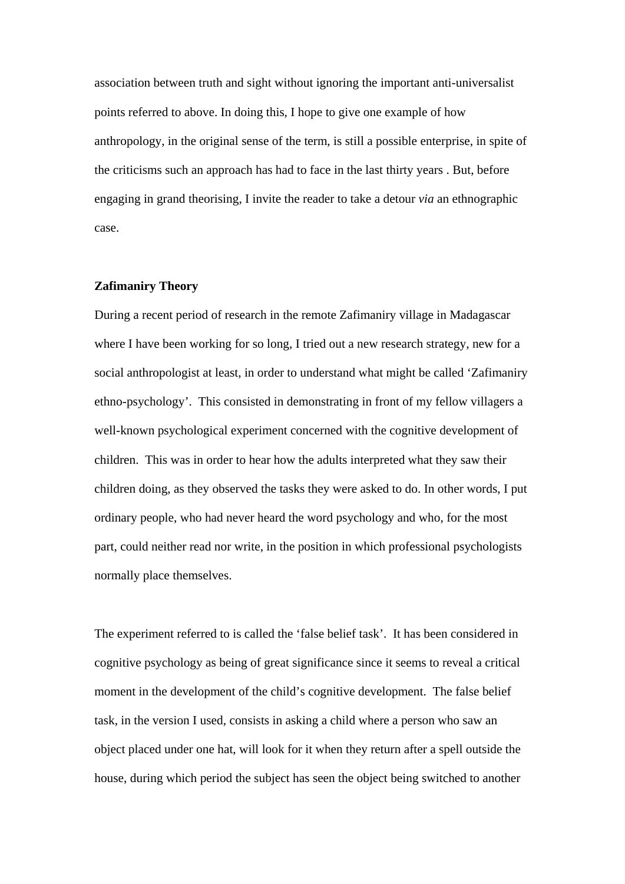association between truth and sight without ignoring the important anti-universalist points referred to above. In doing this, I hope to give one example of how anthropology, in the original sense of the term, is still a possible enterprise, in spite of the criticisms such an approach has had to face in the last thirty years . But, before engaging in grand theorising, I invite the reader to take a detour *via* an ethnographic case.

#### **Zafimaniry Theory**

During a recent period of research in the remote Zafimaniry village in Madagascar where I have been working for so long, I tried out a new research strategy, new for a social anthropologist at least, in order to understand what might be called 'Zafimaniry ethno-psychology'. This consisted in demonstrating in front of my fellow villagers a well-known psychological experiment concerned with the cognitive development of children. This was in order to hear how the adults interpreted what they saw their children doing, as they observed the tasks they were asked to do. In other words, I put ordinary people, who had never heard the word psychology and who, for the most part, could neither read nor write, in the position in which professional psychologists normally place themselves.

The experiment referred to is called the 'false belief task'. It has been considered in cognitive psychology as being of great significance since it seems to reveal a critical moment in the development of the child's cognitive development. The false belief task, in the version I used, consists in asking a child where a person who saw an object placed under one hat, will look for it when they return after a spell outside the house, during which period the subject has seen the object being switched to another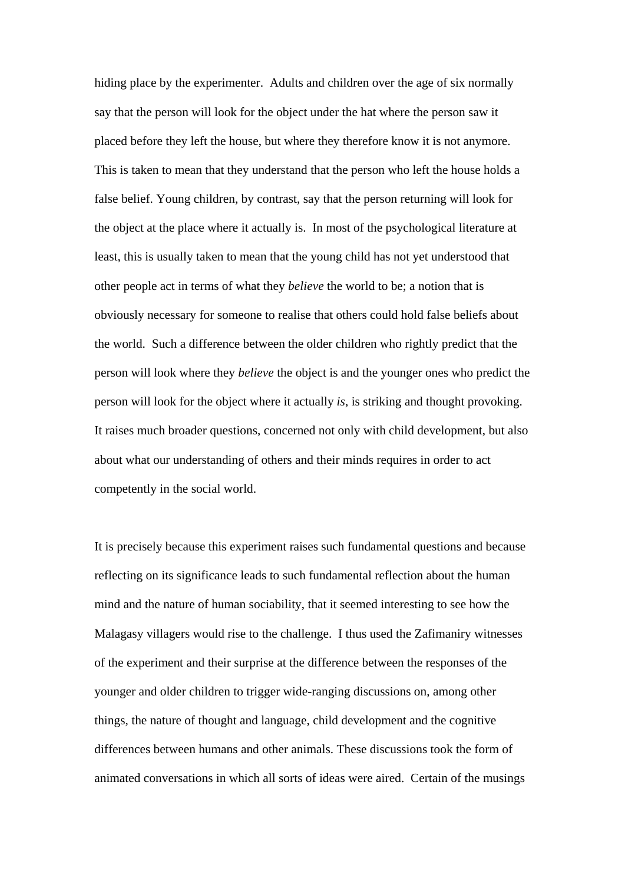hiding place by the experimenter. Adults and children over the age of six normally say that the person will look for the object under the hat where the person saw it placed before they left the house, but where they therefore know it is not anymore. This is taken to mean that they understand that the person who left the house holds a false belief. Young children, by contrast, say that the person returning will look for the object at the place where it actually is. In most of the psychological literature at least, this is usually taken to mean that the young child has not yet understood that other people act in terms of what they *believe* the world to be; a notion that is obviously necessary for someone to realise that others could hold false beliefs about the world. Such a difference between the older children who rightly predict that the person will look where they *believe* the object is and the younger ones who predict the person will look for the object where it actually *is*, is striking and thought provoking. It raises much broader questions, concerned not only with child development, but also about what our understanding of others and their minds requires in order to act competently in the social world.

It is precisely because this experiment raises such fundamental questions and because reflecting on its significance leads to such fundamental reflection about the human mind and the nature of human sociability, that it seemed interesting to see how the Malagasy villagers would rise to the challenge. I thus used the Zafimaniry witnesses of the experiment and their surprise at the difference between the responses of the younger and older children to trigger wide-ranging discussions on, among other things, the nature of thought and language, child development and the cognitive differences between humans and other animals. These discussions took the form of animated conversations in which all sorts of ideas were aired. Certain of the musings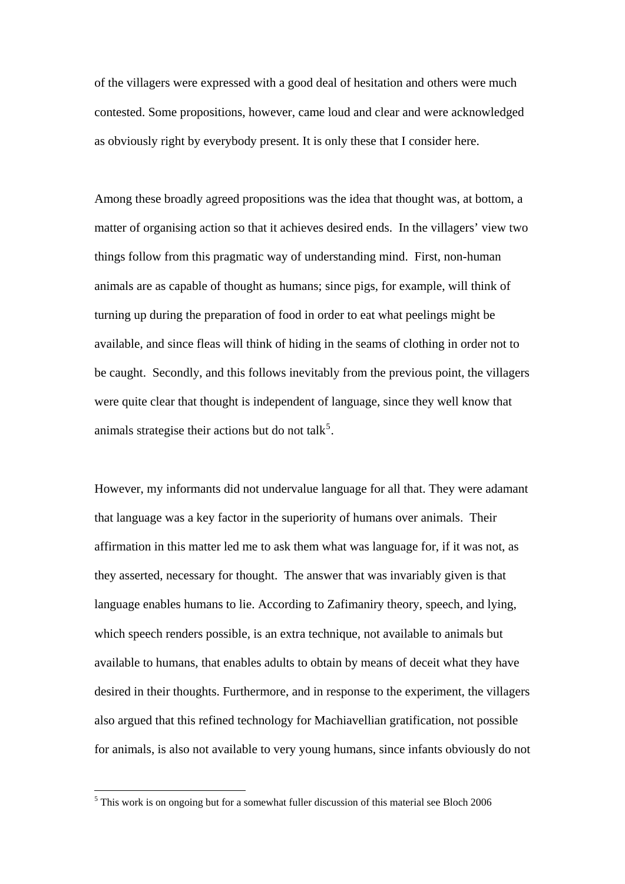of the villagers were expressed with a good deal of hesitation and others were much contested. Some propositions, however, came loud and clear and were acknowledged as obviously right by everybody present. It is only these that I consider here.

Among these broadly agreed propositions was the idea that thought was, at bottom, a matter of organising action so that it achieves desired ends. In the villagers' view two things follow from this pragmatic way of understanding mind. First, non-human animals are as capable of thought as humans; since pigs, for example, will think of turning up during the preparation of food in order to eat what peelings might be available, and since fleas will think of hiding in the seams of clothing in order not to be caught. Secondly, and this follows inevitably from the previous point, the villagers were quite clear that thought is independent of language, since they well know that animals strategise their actions but do not talk<sup>[5](#page-7-0)</sup>.

However, my informants did not undervalue language for all that. They were adamant that language was a key factor in the superiority of humans over animals. Their affirmation in this matter led me to ask them what was language for, if it was not, as they asserted, necessary for thought. The answer that was invariably given is that language enables humans to lie. According to Zafimaniry theory, speech, and lying, which speech renders possible, is an extra technique, not available to animals but available to humans, that enables adults to obtain by means of deceit what they have desired in their thoughts. Furthermore, and in response to the experiment, the villagers also argued that this refined technology for Machiavellian gratification, not possible for animals, is also not available to very young humans, since infants obviously do not

<span id="page-7-0"></span><sup>&</sup>lt;sup>5</sup>This work is on ongoing but for a somewhat fuller discussion of this material see Bloch 2006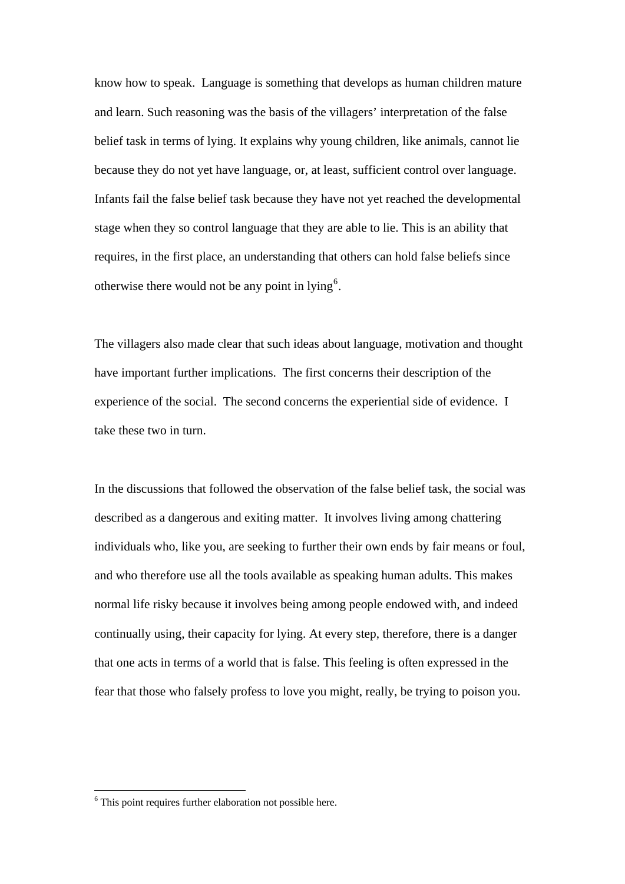know how to speak. Language is something that develops as human children mature and learn. Such reasoning was the basis of the villagers' interpretation of the false belief task in terms of lying. It explains why young children, like animals, cannot lie because they do not yet have language, or, at least, sufficient control over language. Infants fail the false belief task because they have not yet reached the developmental stage when they so control language that they are able to lie. This is an ability that requires, in the first place, an understanding that others can hold false beliefs since otherwise there would not be any point in lying<sup>[6](#page-8-0)</sup>.

The villagers also made clear that such ideas about language, motivation and thought have important further implications. The first concerns their description of the experience of the social. The second concerns the experiential side of evidence. I take these two in turn.

In the discussions that followed the observation of the false belief task, the social was described as a dangerous and exiting matter. It involves living among chattering individuals who, like you, are seeking to further their own ends by fair means or foul, and who therefore use all the tools available as speaking human adults. This makes normal life risky because it involves being among people endowed with, and indeed continually using, their capacity for lying. At every step, therefore, there is a danger that one acts in terms of a world that is false. This feeling is often expressed in the fear that those who falsely profess to love you might, really, be trying to poison you.

1

<span id="page-8-0"></span><sup>&</sup>lt;sup>6</sup> This point requires further elaboration not possible here.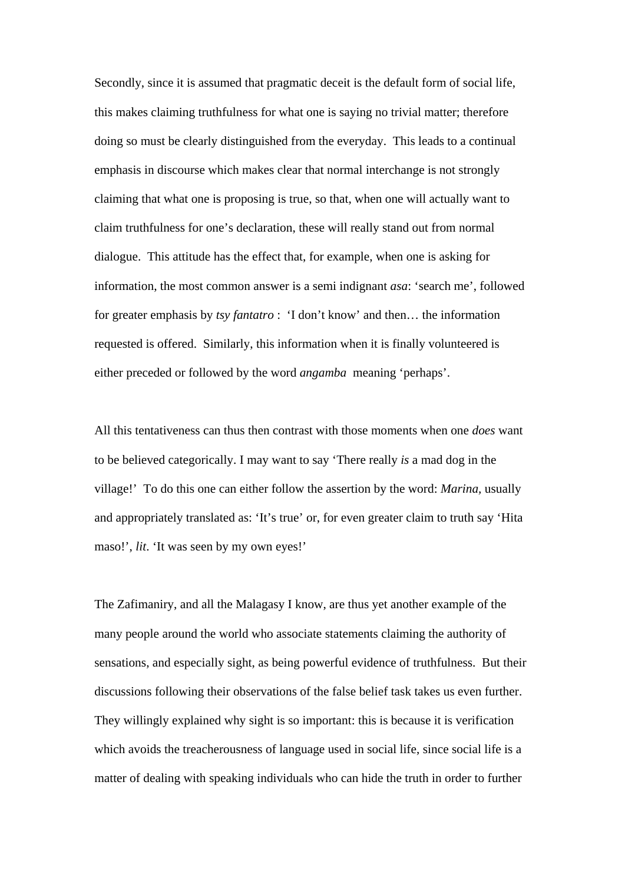Secondly, since it is assumed that pragmatic deceit is the default form of social life, this makes claiming truthfulness for what one is saying no trivial matter; therefore doing so must be clearly distinguished from the everyday. This leads to a continual emphasis in discourse which makes clear that normal interchange is not strongly claiming that what one is proposing is true, so that, when one will actually want to claim truthfulness for one's declaration, these will really stand out from normal dialogue. This attitude has the effect that, for example, when one is asking for information, the most common answer is a semi indignant *asa*: 'search me', followed for greater emphasis by *tsy fantatro* : 'I don't know' and then… the information requested is offered. Similarly, this information when it is finally volunteered is either preceded or followed by the word *angamba* meaning 'perhaps'.

All this tentativeness can thus then contrast with those moments when one *does* want to be believed categorically. I may want to say 'There really *is* a mad dog in the village!' To do this one can either follow the assertion by the word: *Marina,* usually and appropriately translated as: 'It's true' or, for even greater claim to truth say 'Hita maso!', *lit*. 'It was seen by my own eyes!'

The Zafimaniry, and all the Malagasy I know, are thus yet another example of the many people around the world who associate statements claiming the authority of sensations, and especially sight, as being powerful evidence of truthfulness. But their discussions following their observations of the false belief task takes us even further. They willingly explained why sight is so important: this is because it is verification which avoids the treacherousness of language used in social life, since social life is a matter of dealing with speaking individuals who can hide the truth in order to further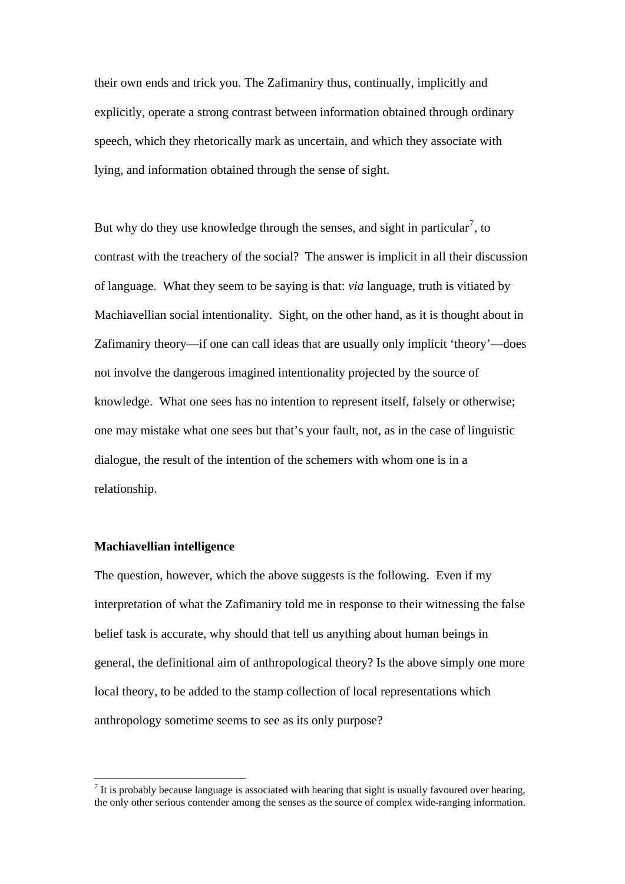their own ends and trick you. The Zafimaniry thus, continually, implicitly and explicitly, operate a strong contrast between information obtained through ordinary speech, which they rhetorically mark as uncertain, and which they associate with lying, and information obtained through the sense of sight.

But why do they use knowledge through the senses, and sight in particular<sup>[7](#page-10-0)</sup>, to contrast with the treachery of the social? The answer is implicit in all their discussion of language. What they seem to be saying is that: *via* language, truth is vitiated by Machiavellian social intentionality. Sight, on the other hand, as it is thought about in Zafimaniry theory—if one can call ideas that are usually only implicit 'theory'—does not involve the dangerous imagined intentionality projected by the source of knowledge. What one sees has no intention to represent itself, falsely or otherwise; one may mistake what one sees but that's your fault, not, as in the case of linguistic dialogue, the result of the intention of the schemers with whom one is in a relationship.

#### **Machiavellian intelligence**

<u>.</u>

The question, however, which the above suggests is the following. Even if my interpretation of what the Zafimaniry told me in response to their witnessing the false belief task is accurate, why should that tell us anything about human beings in general, the definitional aim of anthropological theory? Is the above simply one more local theory, to be added to the stamp collection of local representations which anthropology sometime seems to see as its only purpose?

<span id="page-10-0"></span> $<sup>7</sup>$  It is probably because language is associated with hearing that sight is usually favoured over hearing,</sup> the only other serious contender among the senses as the source of complex wide-ranging information.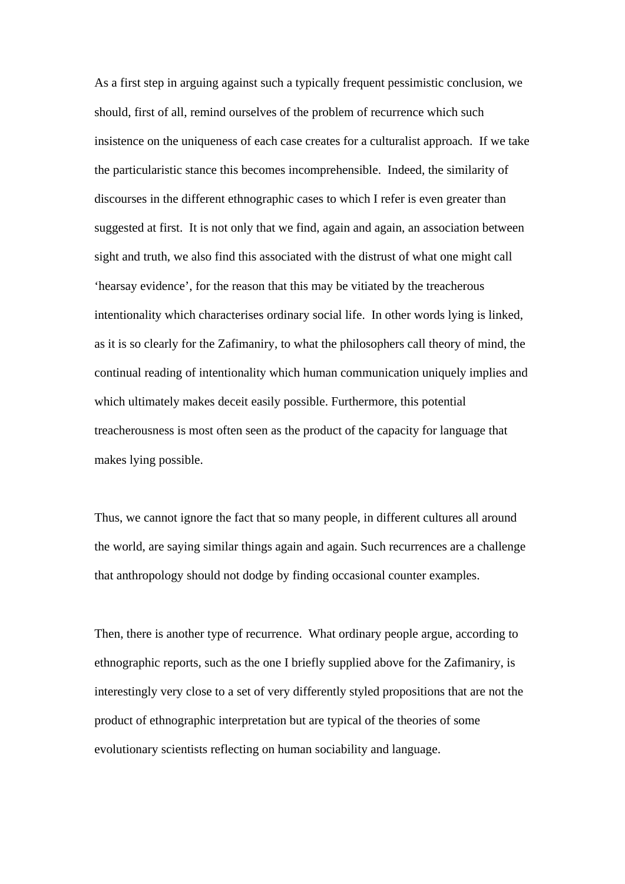As a first step in arguing against such a typically frequent pessimistic conclusion, we should, first of all, remind ourselves of the problem of recurrence which such insistence on the uniqueness of each case creates for a culturalist approach. If we take the particularistic stance this becomes incomprehensible. Indeed, the similarity of discourses in the different ethnographic cases to which I refer is even greater than suggested at first. It is not only that we find, again and again, an association between sight and truth, we also find this associated with the distrust of what one might call 'hearsay evidence', for the reason that this may be vitiated by the treacherous intentionality which characterises ordinary social life. In other words lying is linked, as it is so clearly for the Zafimaniry, to what the philosophers call theory of mind, the continual reading of intentionality which human communication uniquely implies and which ultimately makes deceit easily possible. Furthermore, this potential treacherousness is most often seen as the product of the capacity for language that makes lying possible.

Thus, we cannot ignore the fact that so many people, in different cultures all around the world, are saying similar things again and again. Such recurrences are a challenge that anthropology should not dodge by finding occasional counter examples.

Then, there is another type of recurrence. What ordinary people argue, according to ethnographic reports, such as the one I briefly supplied above for the Zafimaniry, is interestingly very close to a set of very differently styled propositions that are not the product of ethnographic interpretation but are typical of the theories of some evolutionary scientists reflecting on human sociability and language.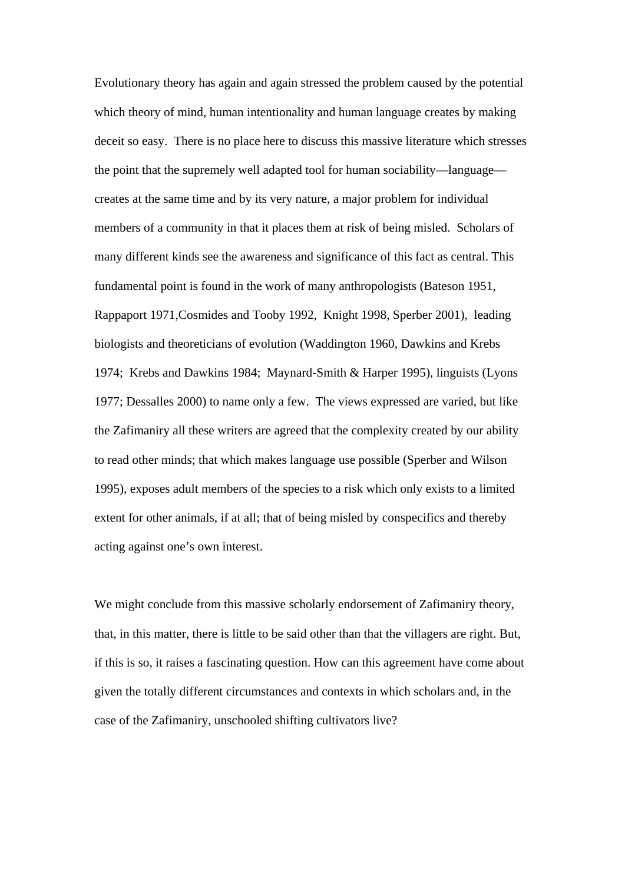Evolutionary theory has again and again stressed the problem caused by the potential which theory of mind, human intentionality and human language creates by making deceit so easy. There is no place here to discuss this massive literature which stresses the point that the supremely well adapted tool for human sociability—language creates at the same time and by its very nature, a major problem for individual members of a community in that it places them at risk of being misled. Scholars of many different kinds see the awareness and significance of this fact as central. This fundamental point is found in the work of many anthropologists (Bateson 1951, Rappaport 1971,Cosmides and Tooby 1992, Knight 1998, Sperber 2001), leading biologists and theoreticians of evolution (Waddington 1960, Dawkins and Krebs 1974; Krebs and Dawkins 1984; Maynard-Smith & Harper 1995), linguists (Lyons 1977; Dessalles 2000) to name only a few. The views expressed are varied, but like the Zafimaniry all these writers are agreed that the complexity created by our ability to read other minds; that which makes language use possible (Sperber and Wilson 1995), exposes adult members of the species to a risk which only exists to a limited extent for other animals, if at all; that of being misled by conspecifics and thereby acting against one's own interest.

We might conclude from this massive scholarly endorsement of Zafimaniry theory, that, in this matter, there is little to be said other than that the villagers are right. But, if this is so, it raises a fascinating question. How can this agreement have come about given the totally different circumstances and contexts in which scholars and, in the case of the Zafimaniry, unschooled shifting cultivators live?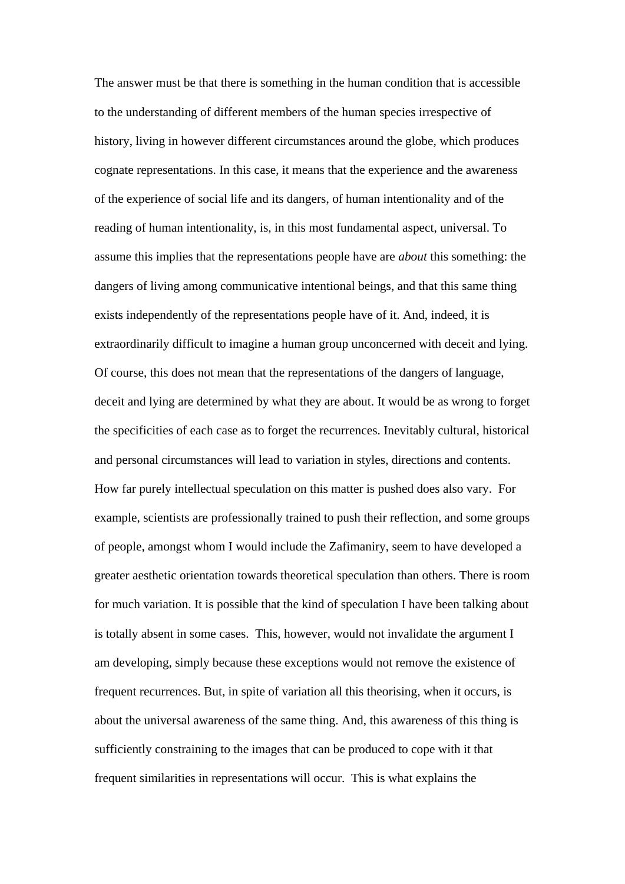The answer must be that there is something in the human condition that is accessible to the understanding of different members of the human species irrespective of history, living in however different circumstances around the globe, which produces cognate representations. In this case, it means that the experience and the awareness of the experience of social life and its dangers, of human intentionality and of the reading of human intentionality, is, in this most fundamental aspect, universal. To assume this implies that the representations people have are *about* this something: the dangers of living among communicative intentional beings, and that this same thing exists independently of the representations people have of it. And, indeed, it is extraordinarily difficult to imagine a human group unconcerned with deceit and lying. Of course, this does not mean that the representations of the dangers of language, deceit and lying are determined by what they are about. It would be as wrong to forget the specificities of each case as to forget the recurrences. Inevitably cultural, historical and personal circumstances will lead to variation in styles, directions and contents. How far purely intellectual speculation on this matter is pushed does also vary. For example, scientists are professionally trained to push their reflection, and some groups of people, amongst whom I would include the Zafimaniry, seem to have developed a greater aesthetic orientation towards theoretical speculation than others. There is room for much variation. It is possible that the kind of speculation I have been talking about is totally absent in some cases. This, however, would not invalidate the argument I am developing, simply because these exceptions would not remove the existence of frequent recurrences. But, in spite of variation all this theorising, when it occurs, is about the universal awareness of the same thing. And, this awareness of this thing is sufficiently constraining to the images that can be produced to cope with it that frequent similarities in representations will occur. This is what explains the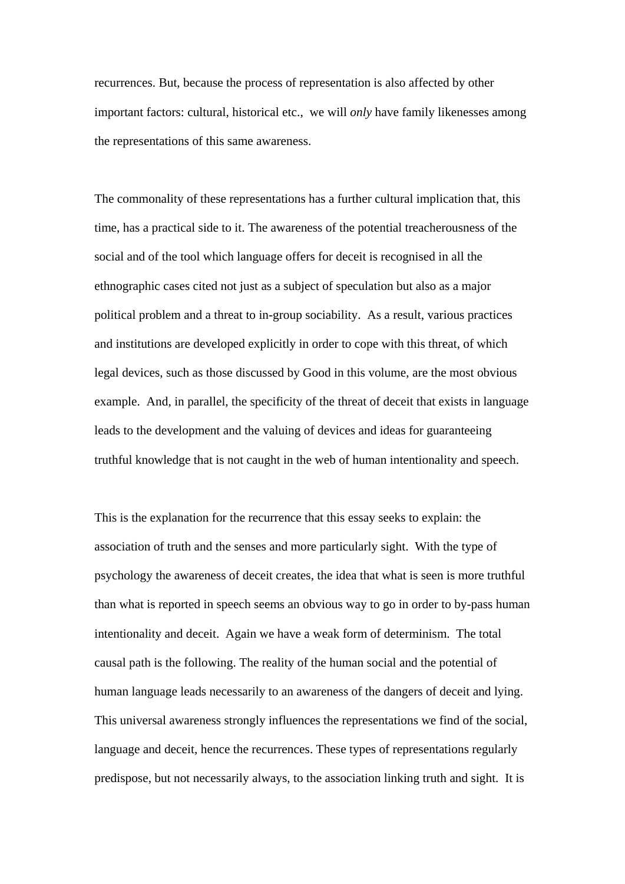recurrences. But, because the process of representation is also affected by other important factors: cultural, historical etc., we will *only* have family likenesses among the representations of this same awareness.

The commonality of these representations has a further cultural implication that, this time, has a practical side to it. The awareness of the potential treacherousness of the social and of the tool which language offers for deceit is recognised in all the ethnographic cases cited not just as a subject of speculation but also as a major political problem and a threat to in-group sociability. As a result, various practices and institutions are developed explicitly in order to cope with this threat, of which legal devices, such as those discussed by Good in this volume, are the most obvious example. And, in parallel, the specificity of the threat of deceit that exists in language leads to the development and the valuing of devices and ideas for guaranteeing truthful knowledge that is not caught in the web of human intentionality and speech.

This is the explanation for the recurrence that this essay seeks to explain: the association of truth and the senses and more particularly sight. With the type of psychology the awareness of deceit creates, the idea that what is seen is more truthful than what is reported in speech seems an obvious way to go in order to by-pass human intentionality and deceit. Again we have a weak form of determinism. The total causal path is the following. The reality of the human social and the potential of human language leads necessarily to an awareness of the dangers of deceit and lying. This universal awareness strongly influences the representations we find of the social, language and deceit, hence the recurrences. These types of representations regularly predispose, but not necessarily always, to the association linking truth and sight. It is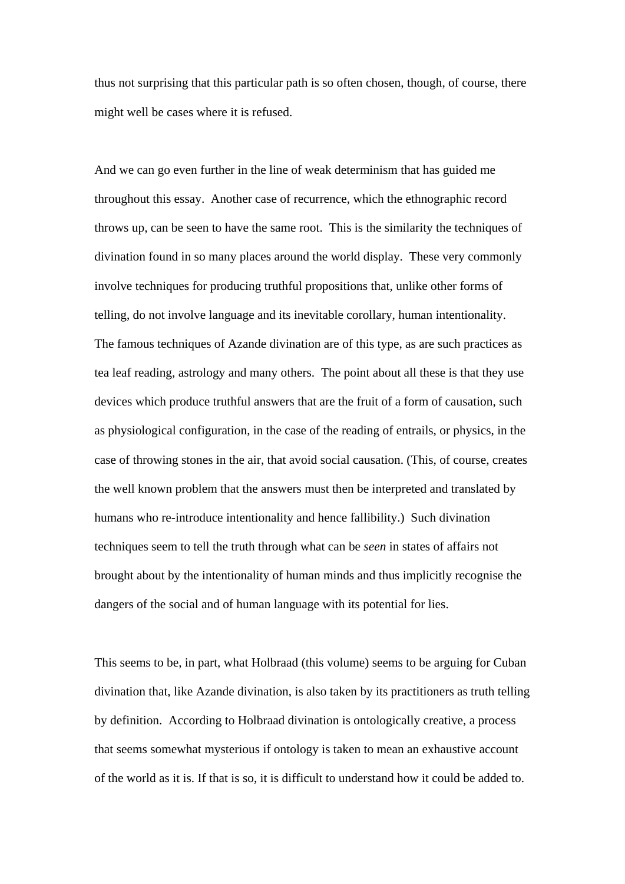thus not surprising that this particular path is so often chosen, though, of course, there might well be cases where it is refused.

And we can go even further in the line of weak determinism that has guided me throughout this essay. Another case of recurrence, which the ethnographic record throws up, can be seen to have the same root. This is the similarity the techniques of divination found in so many places around the world display. These very commonly involve techniques for producing truthful propositions that, unlike other forms of telling, do not involve language and its inevitable corollary, human intentionality. The famous techniques of Azande divination are of this type, as are such practices as tea leaf reading, astrology and many others. The point about all these is that they use devices which produce truthful answers that are the fruit of a form of causation, such as physiological configuration, in the case of the reading of entrails, or physics, in the case of throwing stones in the air, that avoid social causation. (This, of course, creates the well known problem that the answers must then be interpreted and translated by humans who re-introduce intentionality and hence fallibility.) Such divination techniques seem to tell the truth through what can be *seen* in states of affairs not brought about by the intentionality of human minds and thus implicitly recognise the dangers of the social and of human language with its potential for lies.

This seems to be, in part, what Holbraad (this volume) seems to be arguing for Cuban divination that, like Azande divination, is also taken by its practitioners as truth telling by definition. According to Holbraad divination is ontologically creative, a process that seems somewhat mysterious if ontology is taken to mean an exhaustive account of the world as it is. If that is so, it is difficult to understand how it could be added to.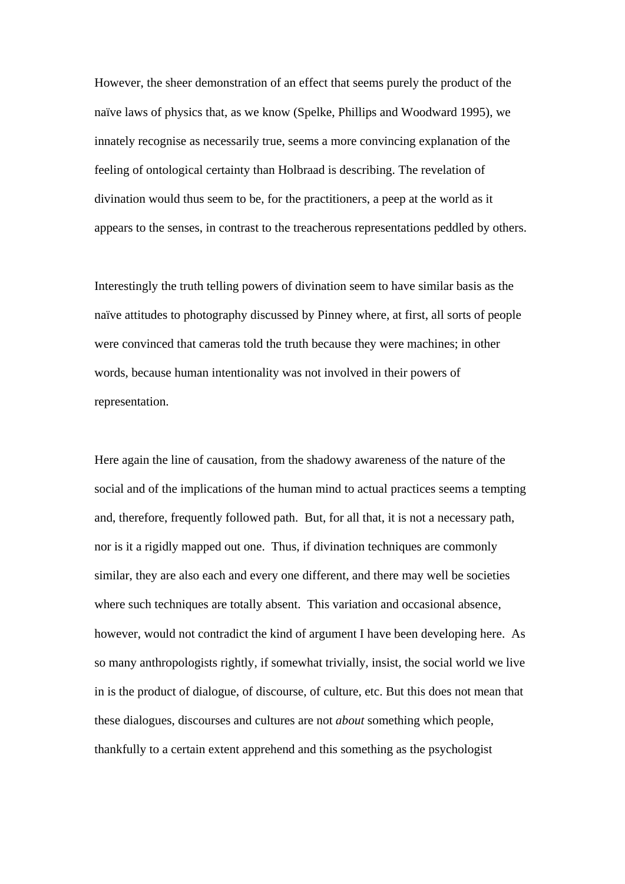However, the sheer demonstration of an effect that seems purely the product of the naïve laws of physics that, as we know (Spelke, Phillips and Woodward 1995), we innately recognise as necessarily true, seems a more convincing explanation of the feeling of ontological certainty than Holbraad is describing. The revelation of divination would thus seem to be, for the practitioners, a peep at the world as it appears to the senses, in contrast to the treacherous representations peddled by others.

Interestingly the truth telling powers of divination seem to have similar basis as the naïve attitudes to photography discussed by Pinney where, at first, all sorts of people were convinced that cameras told the truth because they were machines; in other words, because human intentionality was not involved in their powers of representation.

Here again the line of causation, from the shadowy awareness of the nature of the social and of the implications of the human mind to actual practices seems a tempting and, therefore, frequently followed path. But, for all that, it is not a necessary path, nor is it a rigidly mapped out one. Thus, if divination techniques are commonly similar, they are also each and every one different, and there may well be societies where such techniques are totally absent. This variation and occasional absence, however, would not contradict the kind of argument I have been developing here. As so many anthropologists rightly, if somewhat trivially, insist, the social world we live in is the product of dialogue, of discourse, of culture, etc. But this does not mean that these dialogues, discourses and cultures are not *about* something which people, thankfully to a certain extent apprehend and this something as the psychologist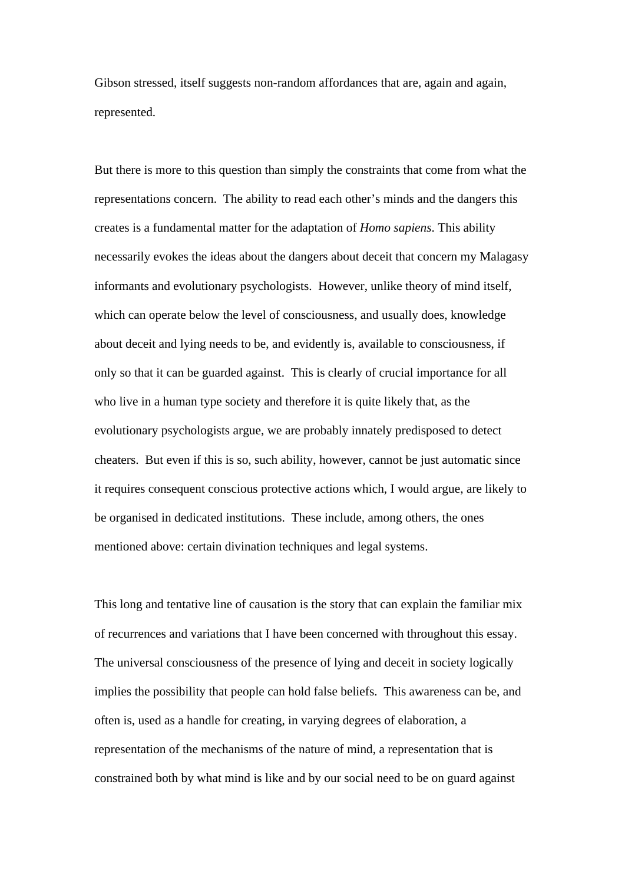Gibson stressed, itself suggests non-random affordances that are, again and again, represented.

But there is more to this question than simply the constraints that come from what the representations concern. The ability to read each other's minds and the dangers this creates is a fundamental matter for the adaptation of *Homo sapiens*. This ability necessarily evokes the ideas about the dangers about deceit that concern my Malagasy informants and evolutionary psychologists. However, unlike theory of mind itself, which can operate below the level of consciousness, and usually does, knowledge about deceit and lying needs to be, and evidently is, available to consciousness, if only so that it can be guarded against. This is clearly of crucial importance for all who live in a human type society and therefore it is quite likely that, as the evolutionary psychologists argue, we are probably innately predisposed to detect cheaters. But even if this is so, such ability, however, cannot be just automatic since it requires consequent conscious protective actions which, I would argue, are likely to be organised in dedicated institutions. These include, among others, the ones mentioned above: certain divination techniques and legal systems.

This long and tentative line of causation is the story that can explain the familiar mix of recurrences and variations that I have been concerned with throughout this essay. The universal consciousness of the presence of lying and deceit in society logically implies the possibility that people can hold false beliefs. This awareness can be, and often is, used as a handle for creating, in varying degrees of elaboration, a representation of the mechanisms of the nature of mind, a representation that is constrained both by what mind is like and by our social need to be on guard against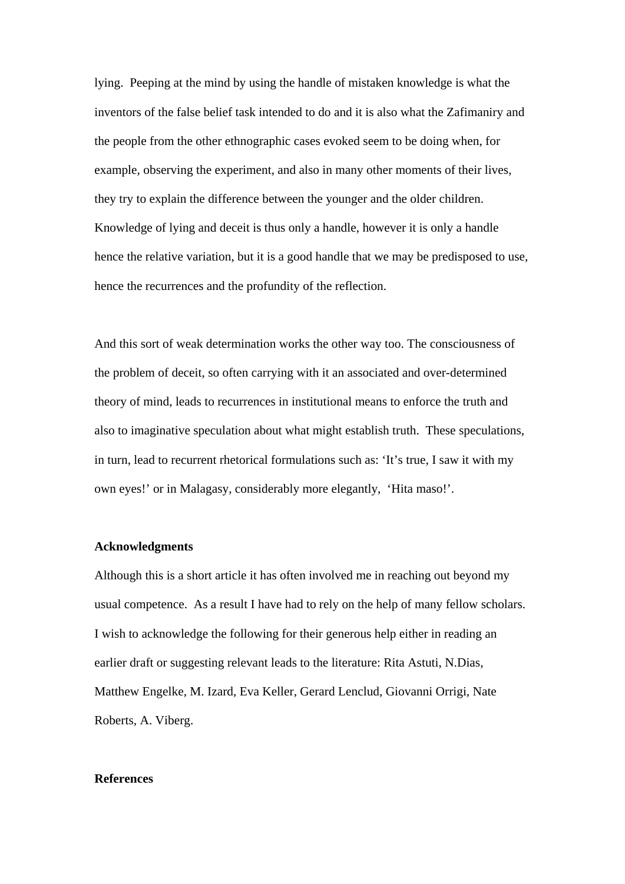lying. Peeping at the mind by using the handle of mistaken knowledge is what the inventors of the false belief task intended to do and it is also what the Zafimaniry and the people from the other ethnographic cases evoked seem to be doing when, for example, observing the experiment, and also in many other moments of their lives, they try to explain the difference between the younger and the older children. Knowledge of lying and deceit is thus only a handle, however it is only a handle hence the relative variation, but it is a good handle that we may be predisposed to use, hence the recurrences and the profundity of the reflection.

And this sort of weak determination works the other way too. The consciousness of the problem of deceit, so often carrying with it an associated and over-determined theory of mind, leads to recurrences in institutional means to enforce the truth and also to imaginative speculation about what might establish truth. These speculations, in turn, lead to recurrent rhetorical formulations such as: 'It's true, I saw it with my own eyes!' or in Malagasy, considerably more elegantly, 'Hita maso!'.

#### **Acknowledgments**

Although this is a short article it has often involved me in reaching out beyond my usual competence. As a result I have had to rely on the help of many fellow scholars. I wish to acknowledge the following for their generous help either in reading an earlier draft or suggesting relevant leads to the literature: Rita Astuti, N.Dias, Matthew Engelke, M. Izard, Eva Keller, Gerard Lenclud, Giovanni Orrigi, Nate Roberts, A. Viberg.

#### **References**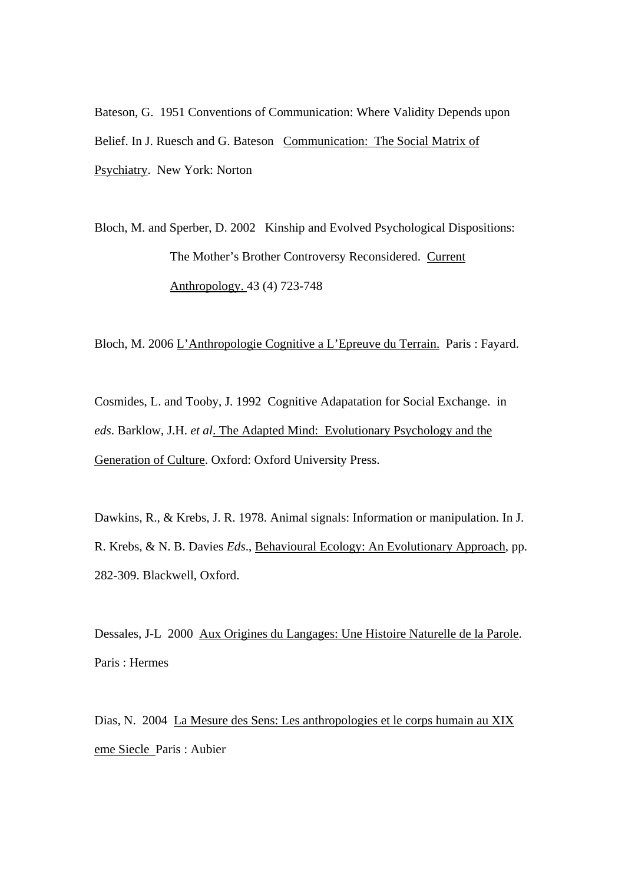Bateson, G. 1951 Conventions of Communication: Where Validity Depends upon Belief. In J. Ruesch and G. Bateson Communication: The Social Matrix of Psychiatry. New York: Norton

Bloch, M. and Sperber, D. 2002 Kinship and Evolved Psychological Dispositions: The Mother's Brother Controversy Reconsidered. Current Anthropology. 43 (4) 723-748

Bloch, M. 2006 L'Anthropologie Cognitive a L'Epreuve du Terrain. Paris : Fayard.

Cosmides, L. and Tooby, J. 1992 Cognitive Adapatation for Social Exchange. in *eds*. Barklow, J.H. *et al*. The Adapted Mind: Evolutionary Psychology and the Generation of Culture. Oxford: Oxford University Press.

Dawkins, R., & Krebs, J. R. 1978. Animal signals: Information or manipulation. In J. R. Krebs, & N. B. Davies *Eds*., Behavioural Ecology: An Evolutionary Approach, pp. 282-309. Blackwell, Oxford.

Dessales, J-L 2000 Aux Origines du Langages: Une Histoire Naturelle de la Parole. Paris : Hermes

Dias, N. 2004 La Mesure des Sens: Les anthropologies et le corps humain au XIX eme Siecle Paris : Aubier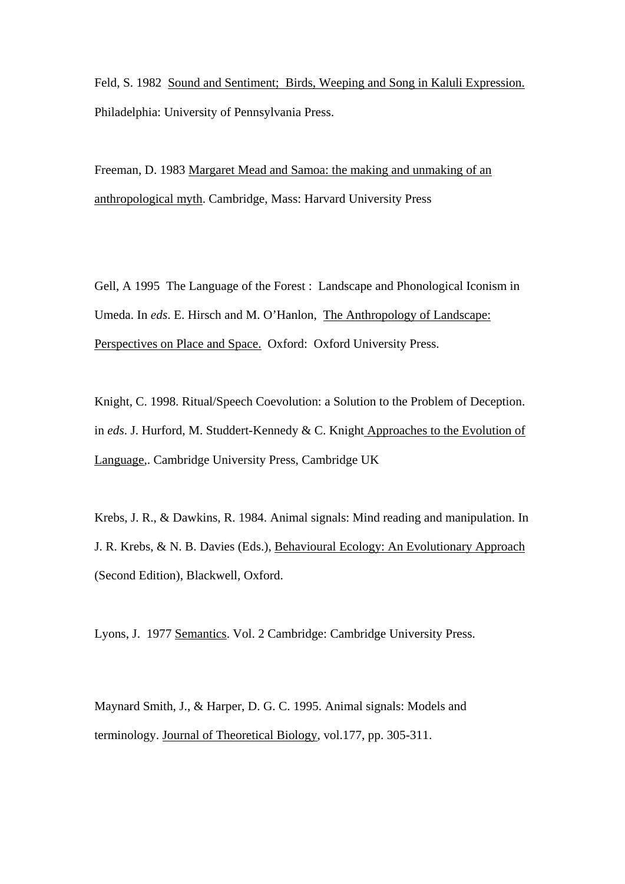Feld, S. 1982 Sound and Sentiment; Birds, Weeping and Song in Kaluli Expression. Philadelphia: University of Pennsylvania Press.

Freeman, D. 1983 Margaret Mead and Samoa: the making and unmaking of an anthropological myth. Cambridge, Mass: Harvard University Press

Gell, A 1995 The Language of the Forest : Landscape and Phonological Iconism in Umeda. In *eds*. E. Hirsch and M. O'Hanlon, The Anthropology of Landscape: Perspectives on Place and Space. Oxford: Oxford University Press.

Knight, C. 1998. Ritual/Speech Coevolution: a Solution to the Problem of Deception. in *eds*. J. Hurford, M. Studdert-Kennedy & C. Knight Approaches to the Evolution of Language,. Cambridge University Press, Cambridge UK

Krebs, J. R., & Dawkins, R. 1984. Animal signals: Mind reading and manipulation. In J. R. Krebs, & N. B. Davies (Eds.), Behavioural Ecology: An Evolutionary Approach (Second Edition), Blackwell, Oxford.

Lyons, J. 1977 Semantics. Vol. 2 Cambridge: Cambridge University Press.

Maynard Smith, J., & Harper, D. G. C. 1995. Animal signals: Models and terminology. Journal of Theoretical Biology, vol.177, pp. 305-311.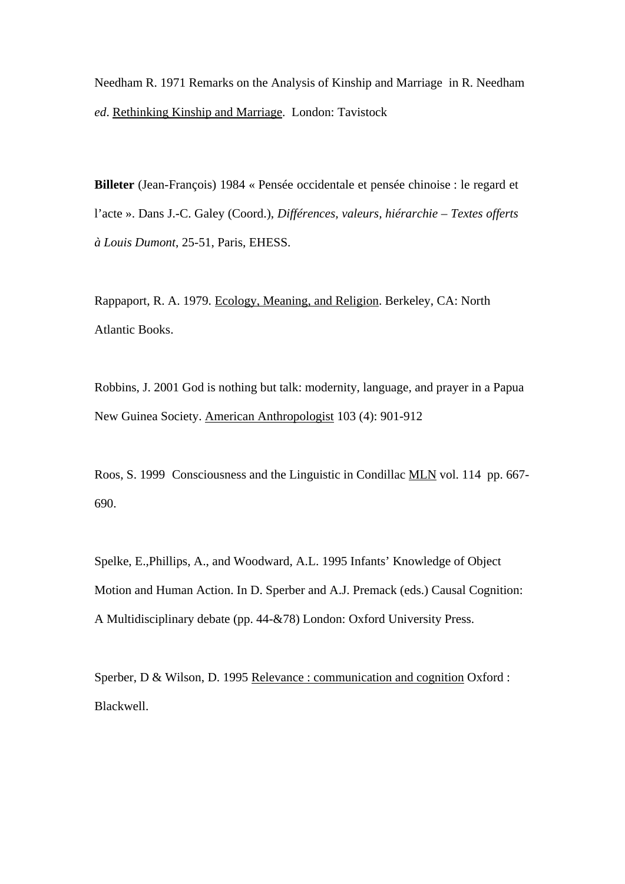Needham R. 1971 Remarks on the Analysis of Kinship and Marriage in R. Needham *ed*. Rethinking Kinship and Marriage. London: Tavistock

**Billeter** (Jean-François) 1984 « Pensée occidentale et pensée chinoise : le regard et l'acte ». Dans J.-C. Galey (Coord.), *Différences, valeurs, hiérarchie – Textes offerts à Louis Dumont*, 25-51, Paris, EHESS.

Rappaport, R. A. 1979. Ecology, Meaning, and Religion. Berkeley, CA: North Atlantic Books.

Robbins, J. 2001 God is nothing but talk: modernity, language, and prayer in a Papua New Guinea Society. American Anthropologist 103 (4): 901-912

Roos, S. 1999 [Consciousness and the Linguistic in Condillac](http://muse.jhu.edu/journals/mln/v114/114.4roos.html) MLN vol. 114 pp. 667- 690.

Spelke, E.,Phillips, A., and Woodward, A.L. 1995 Infants' Knowledge of Object Motion and Human Action. In D. Sperber and A.J. Premack (eds.) Causal Cognition: A Multidisciplinary debate (pp. 44-&78) London: Oxford University Press.

Sperber, D & Wilson, D. 1995 Relevance : communication and cognition Oxford : Blackwell.